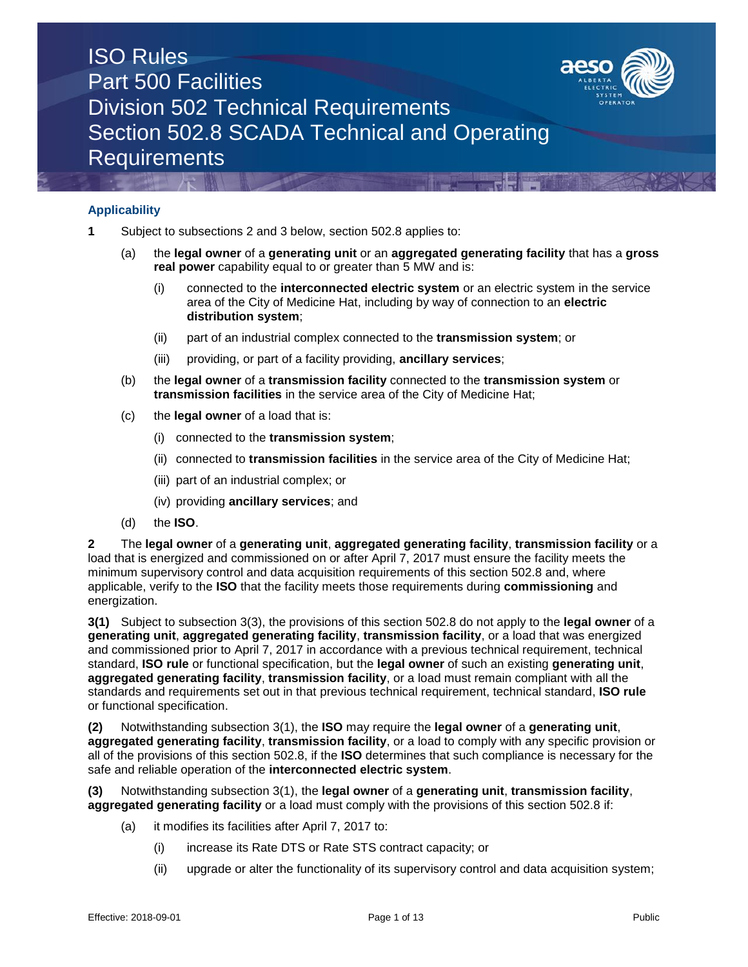

### **Applicability**

- **1** Subject to subsections 2 and 3 below, section 502.8 applies to:
	- (a) the **legal owner** of a **generating unit** or an **aggregated generating facility** that has a **gross real power** capability equal to or greater than 5 MW and is:
		- (i) connected to the **interconnected electric system** or an electric system in the service area of the City of Medicine Hat, including by way of connection to an **electric distribution system**;
		- (ii) part of an industrial complex connected to the **transmission system**; or
		- (iii) providing, or part of a facility providing, **ancillary services**;
	- (b) the **legal owner** of a **transmission facility** connected to the **transmission system** or **transmission facilities** in the service area of the City of Medicine Hat;
	- (c) the **legal owner** of a load that is:
		- (i) connected to the **transmission system**;
		- (ii) connected to **transmission facilities** in the service area of the City of Medicine Hat;
		- (iii) part of an industrial complex; or
		- (iv) providing **ancillary services**; and
	- (d) the **ISO**.

**2** The **legal owner** of a **generating unit**, **aggregated generating facility**, **transmission facility** or a load that is energized and commissioned on or after April 7, 2017 must ensure the facility meets the minimum supervisory control and data acquisition requirements of this section 502.8 and, where applicable, verify to the **ISO** that the facility meets those requirements during **commissioning** and energization.

**3(1)** Subject to subsection 3(3), the provisions of this section 502.8 do not apply to the **legal owner** of a **generating unit**, **aggregated generating facility**, **transmission facility**, or a load that was energized and commissioned prior to April 7, 2017 in accordance with a previous technical requirement, technical standard, **ISO rule** or functional specification, but the **legal owner** of such an existing **generating unit**, **aggregated generating facility**, **transmission facility**, or a load must remain compliant with all the standards and requirements set out in that previous technical requirement, technical standard, **ISO rule** or functional specification.

**(2)** Notwithstanding subsection 3(1), the **ISO** may require the **legal owner** of a **generating unit**, **aggregated generating facility**, **transmission facility**, or a load to comply with any specific provision or all of the provisions of this section 502.8, if the **ISO** determines that such compliance is necessary for the safe and reliable operation of the **interconnected electric system**.

**(3)** Notwithstanding subsection 3(1), the **legal owner** of a **generating unit**, **transmission facility**, **aggregated generating facility** or a load must comply with the provisions of this section 502.8 if:

- (a) it modifies its facilities after April 7, 2017 to:
	- (i) increase its Rate DTS or Rate STS contract capacity; or
	- (ii) upgrade or alter the functionality of its supervisory control and data acquisition system;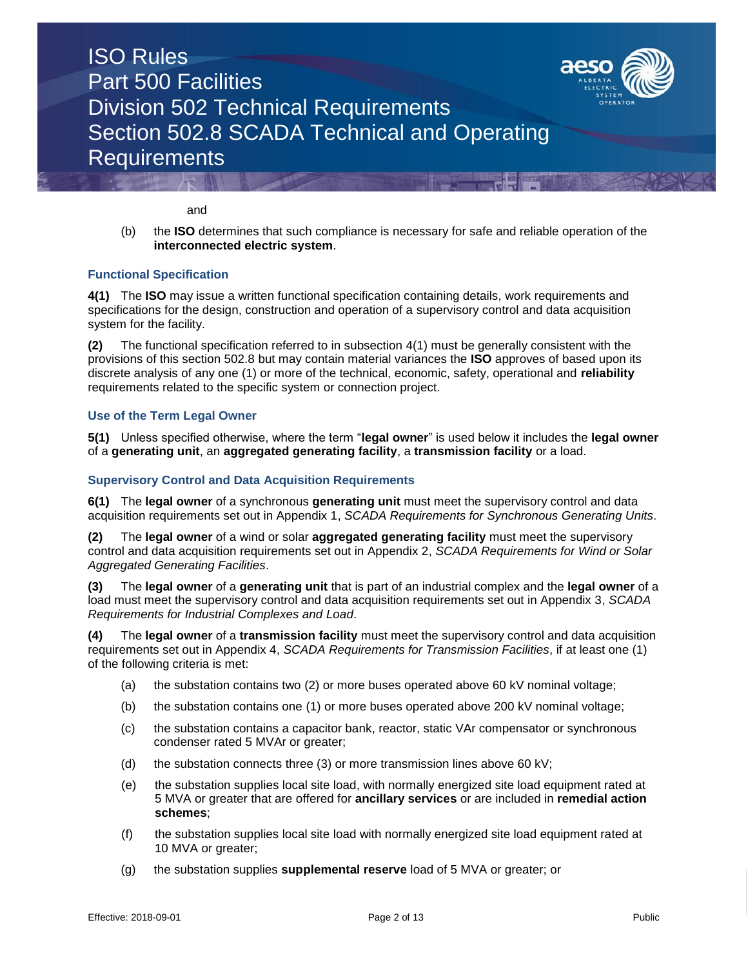

and

(b) the **ISO** determines that such compliance is necessary for safe and reliable operation of the **interconnected electric system**.

### **Functional Specification**

**4(1)** The **ISO** may issue a written functional specification containing details, work requirements and specifications for the design, construction and operation of a supervisory control and data acquisition system for the facility.

**(2)** The functional specification referred to in subsection 4(1) must be generally consistent with the provisions of this section 502.8 but may contain material variances the **ISO** approves of based upon its discrete analysis of any one (1) or more of the technical, economic, safety, operational and **reliability**  requirements related to the specific system or connection project.

### **Use of the Term Legal Owner**

**5(1)** Unless specified otherwise, where the term "**legal owner**" is used below it includes the **legal owner**  of a **generating unit**, an **aggregated generating facility**, a **transmission facility** or a load.

### **Supervisory Control and Data Acquisition Requirements**

**6(1)** The **legal owner** of a synchronous **generating unit** must meet the supervisory control and data acquisition requirements set out in Appendix 1, *SCADA Requirements for Synchronous Generating Units*.

**(2)** The **legal owner** of a wind or solar **aggregated generating facility** must meet the supervisory control and data acquisition requirements set out in Appendix 2, *SCADA Requirements for Wind or Solar Aggregated Generating Facilities*.

**(3)** The **legal owner** of a **generating unit** that is part of an industrial complex and the **legal owner** of a load must meet the supervisory control and data acquisition requirements set out in Appendix 3, *SCADA Requirements for Industrial Complexes and Load*.

**(4)** The **legal owner** of a **transmission facility** must meet the supervisory control and data acquisition requirements set out in Appendix 4, *SCADA Requirements for Transmission Facilities*, if at least one (1) of the following criteria is met:

- (a) the substation contains two (2) or more buses operated above 60 kV nominal voltage;
- (b) the substation contains one (1) or more buses operated above 200 kV nominal voltage;
- (c) the substation contains a capacitor bank, reactor, static VAr compensator or synchronous condenser rated 5 MVAr or greater;
- (d) the substation connects three (3) or more transmission lines above 60 kV;
- (e) the substation supplies local site load, with normally energized site load equipment rated at 5 MVA or greater that are offered for **ancillary services** or are included in **remedial action schemes**;
- (f) the substation supplies local site load with normally energized site load equipment rated at 10 MVA or greater;
- (g) the substation supplies **supplemental reserve** load of 5 MVA or greater; or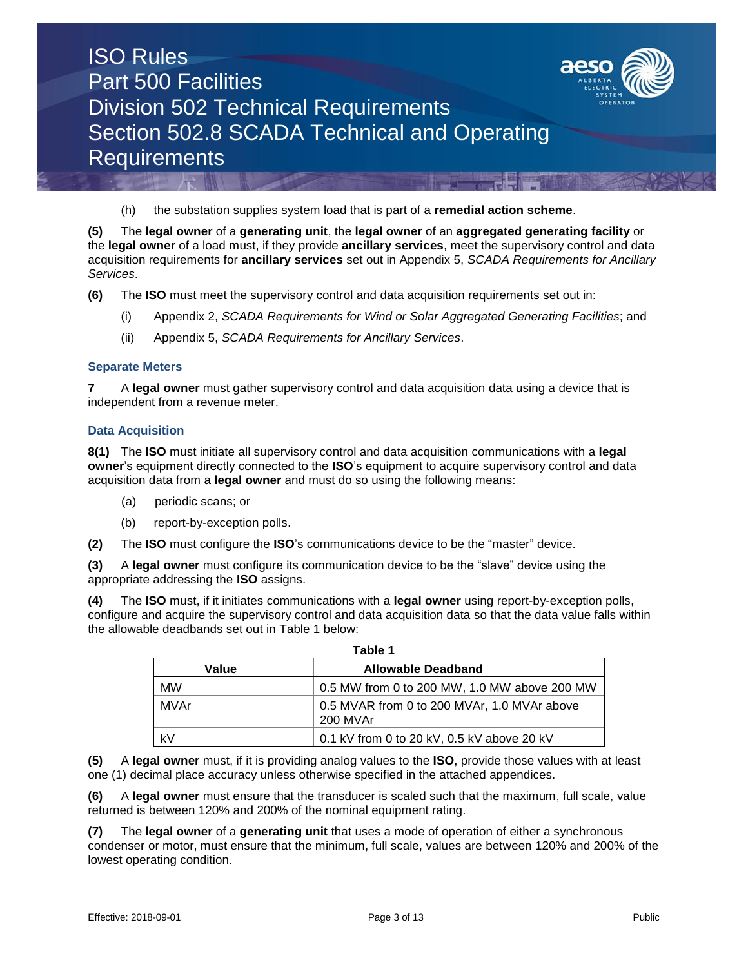

(h) the substation supplies system load that is part of a **remedial action scheme**.

**(5)** The **legal owner** of a **generating unit**, the **legal owner** of an **aggregated generating facility** or the **legal owner** of a load must, if they provide **ancillary services**, meet the supervisory control and data acquisition requirements for **ancillary services** set out in Appendix 5, *SCADA Requirements for Ancillary Services*.

- **(6)** The **ISO** must meet the supervisory control and data acquisition requirements set out in:
	- (i) Appendix 2, *SCADA Requirements for Wind or Solar Aggregated Generating Facilities*; and
	- (ii) Appendix 5, *SCADA Requirements for Ancillary Services*.

### **Separate Meters**

**7** A **legal owner** must gather supervisory control and data acquisition data using a device that is independent from a revenue meter.

#### **Data Acquisition**

**8(1)** The **ISO** must initiate all supervisory control and data acquisition communications with a **legal owner**'s equipment directly connected to the **ISO**'s equipment to acquire supervisory control and data acquisition data from a **legal owner** and must do so using the following means:

- (a) periodic scans; or
- (b) report-by-exception polls.
- **(2)** The **ISO** must configure the **ISO**'s communications device to be the "master" device.

**(3)** A **legal owner** must configure its communication device to be the "slave" device using the appropriate addressing the **ISO** assigns.

**(4)** The **ISO** must, if it initiates communications with a **legal owner** using report-by-exception polls, configure and acquire the supervisory control and data acquisition data so that the data value falls within the allowable deadbands set out in Table 1 below:

| Table 1                            |                                                         |  |  |  |  |  |  |  |  |  |
|------------------------------------|---------------------------------------------------------|--|--|--|--|--|--|--|--|--|
| <b>Allowable Deadband</b><br>Value |                                                         |  |  |  |  |  |  |  |  |  |
| <b>MW</b>                          | 0.5 MW from 0 to 200 MW, 1.0 MW above 200 MW            |  |  |  |  |  |  |  |  |  |
| MVAr                               | 0.5 MVAR from 0 to 200 MVAr, 1.0 MVAr above<br>200 MVAr |  |  |  |  |  |  |  |  |  |
| kV                                 | 0.1 kV from 0 to 20 kV, 0.5 kV above 20 kV              |  |  |  |  |  |  |  |  |  |

**(5)** A **legal owner** must, if it is providing analog values to the **ISO**, provide those values with at least one (1) decimal place accuracy unless otherwise specified in the attached appendices.

**(6)** A **legal owner** must ensure that the transducer is scaled such that the maximum, full scale, value returned is between 120% and 200% of the nominal equipment rating.

**(7)** The **legal owner** of a **generating unit** that uses a mode of operation of either a synchronous condenser or motor, must ensure that the minimum, full scale, values are between 120% and 200% of the lowest operating condition.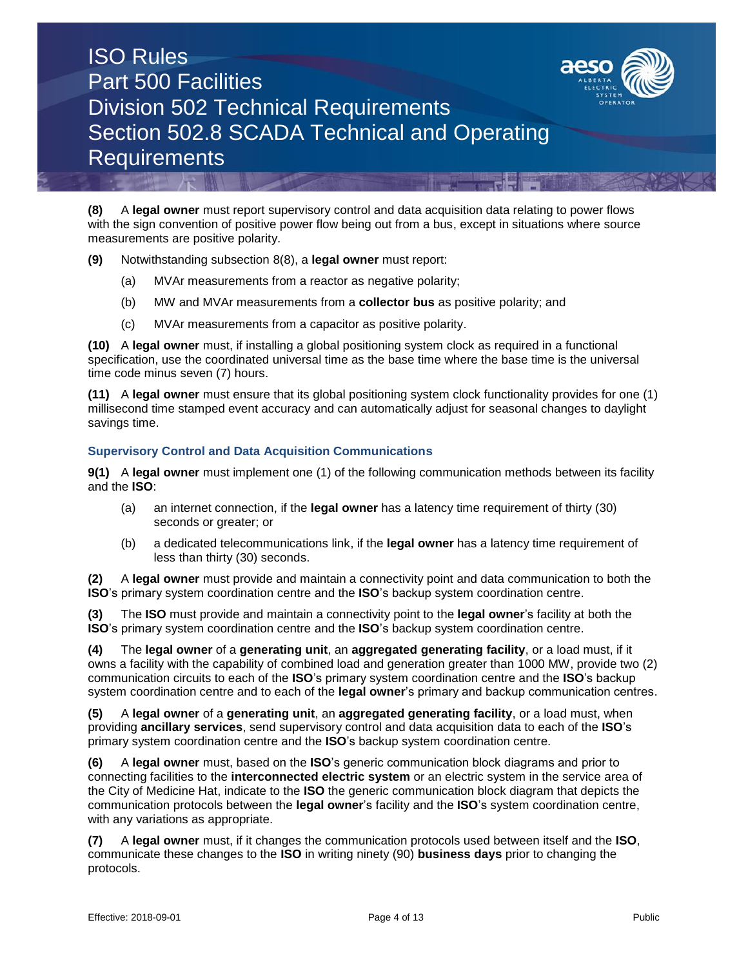

**(8)** A **legal owner** must report supervisory control and data acquisition data relating to power flows with the sign convention of positive power flow being out from a bus, except in situations where source measurements are positive polarity.

- **(9)** Notwithstanding subsection 8(8), a **legal owner** must report:
	- (a) MVAr measurements from a reactor as negative polarity;
	- (b) MW and MVAr measurements from a **collector bus** as positive polarity; and
	- (c) MVAr measurements from a capacitor as positive polarity.

**(10)** A **legal owner** must, if installing a global positioning system clock as required in a functional specification, use the coordinated universal time as the base time where the base time is the universal time code minus seven (7) hours.

**(11)** A **legal owner** must ensure that its global positioning system clock functionality provides for one (1) millisecond time stamped event accuracy and can automatically adjust for seasonal changes to daylight savings time.

### **Supervisory Control and Data Acquisition Communications**

**9(1)** A **legal owner** must implement one (1) of the following communication methods between its facility and the **ISO**:

- (a) an internet connection, if the **legal owner** has a latency time requirement of thirty (30) seconds or greater; or
- (b) a dedicated telecommunications link, if the **legal owner** has a latency time requirement of less than thirty (30) seconds.

**(2)** A **legal owner** must provide and maintain a connectivity point and data communication to both the **ISO**'s primary system coordination centre and the **ISO**'s backup system coordination centre.

**(3)** The **ISO** must provide and maintain a connectivity point to the **legal owner**'s facility at both the **ISO**'s primary system coordination centre and the **ISO**'s backup system coordination centre.

**(4)** The **legal owner** of a **generating unit**, an **aggregated generating facility**, or a load must, if it owns a facility with the capability of combined load and generation greater than 1000 MW, provide two (2) communication circuits to each of the **ISO**'s primary system coordination centre and the **ISO**'s backup system coordination centre and to each of the **legal owner**'s primary and backup communication centres.

**(5)** A **legal owner** of a **generating unit**, an **aggregated generating facility**, or a load must, when providing **ancillary services**, send supervisory control and data acquisition data to each of the **ISO**'s primary system coordination centre and the **ISO**'s backup system coordination centre.

**(6)** A **legal owner** must, based on the **ISO**'s generic communication block diagrams and prior to connecting facilities to the **interconnected electric system** or an electric system in the service area of the City of Medicine Hat, indicate to the **ISO** the generic communication block diagram that depicts the communication protocols between the **legal owner**'s facility and the **ISO**'s system coordination centre, with any variations as appropriate.

**(7)** A **legal owner** must, if it changes the communication protocols used between itself and the **ISO**, communicate these changes to the **ISO** in writing ninety (90) **business days** prior to changing the protocols.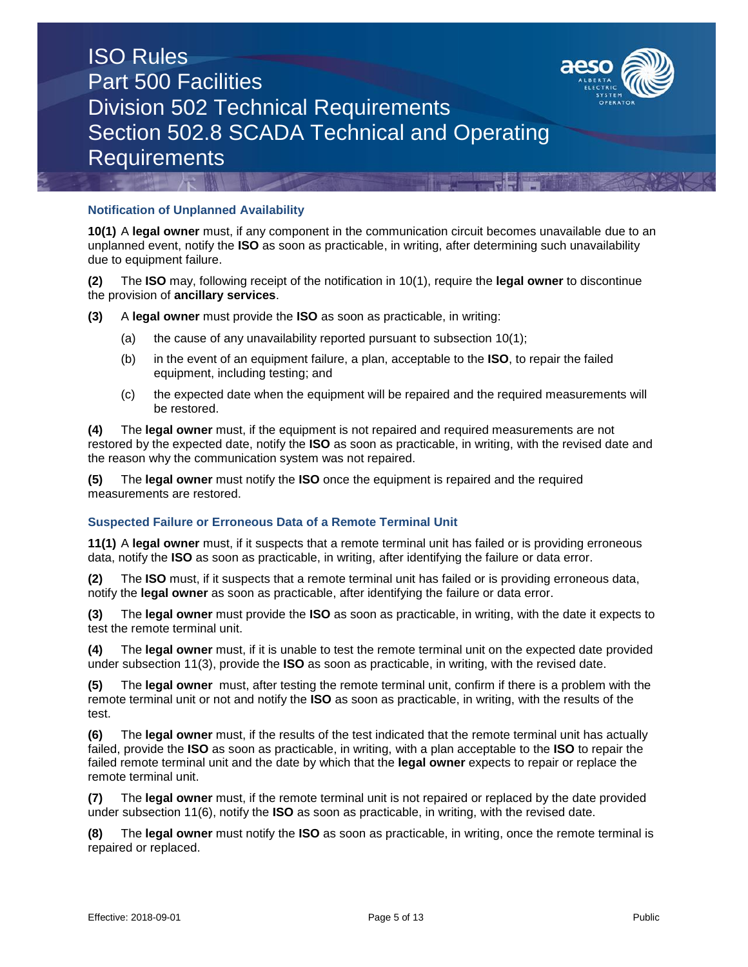

### **Notification of Unplanned Availability**

**10(1)** A **legal owner** must, if any component in the communication circuit becomes unavailable due to an unplanned event, notify the **ISO** as soon as practicable, in writing, after determining such unavailability due to equipment failure.

**(2)** The **ISO** may, following receipt of the notification in 10(1), require the **legal owner** to discontinue the provision of **ancillary services**.

- **(3)** A **legal owner** must provide the **ISO** as soon as practicable, in writing:
	- (a) the cause of any unavailability reported pursuant to subsection  $10(1)$ ;
	- (b) in the event of an equipment failure, a plan, acceptable to the **ISO**, to repair the failed equipment, including testing; and
	- (c) the expected date when the equipment will be repaired and the required measurements will be restored.

**(4)** The **legal owner** must, if the equipment is not repaired and required measurements are not restored by the expected date, notify the **ISO** as soon as practicable, in writing, with the revised date and the reason why the communication system was not repaired.

**(5)** The **legal owner** must notify the **ISO** once the equipment is repaired and the required measurements are restored.

### **Suspected Failure or Erroneous Data of a Remote Terminal Unit**

**11(1)** A **legal owner** must, if it suspects that a remote terminal unit has failed or is providing erroneous data, notify the **ISO** as soon as practicable, in writing, after identifying the failure or data error.

**(2)** The **ISO** must, if it suspects that a remote terminal unit has failed or is providing erroneous data, notify the **legal owner** as soon as practicable, after identifying the failure or data error.

**(3)** The **legal owner** must provide the **ISO** as soon as practicable, in writing, with the date it expects to test the remote terminal unit.

**(4)** The **legal owner** must, if it is unable to test the remote terminal unit on the expected date provided under subsection 11(3), provide the **ISO** as soon as practicable, in writing, with the revised date.

**(5)** The **legal owner** must, after testing the remote terminal unit, confirm if there is a problem with the remote terminal unit or not and notify the **ISO** as soon as practicable, in writing, with the results of the test.

**(6)** The **legal owner** must, if the results of the test indicated that the remote terminal unit has actually failed, provide the **ISO** as soon as practicable, in writing, with a plan acceptable to the **ISO** to repair the failed remote terminal unit and the date by which that the **legal owner** expects to repair or replace the remote terminal unit.

**(7)** The **legal owner** must, if the remote terminal unit is not repaired or replaced by the date provided under subsection 11(6), notify the **ISO** as soon as practicable, in writing, with the revised date.

**(8)** The **legal owner** must notify the **ISO** as soon as practicable, in writing, once the remote terminal is repaired or replaced.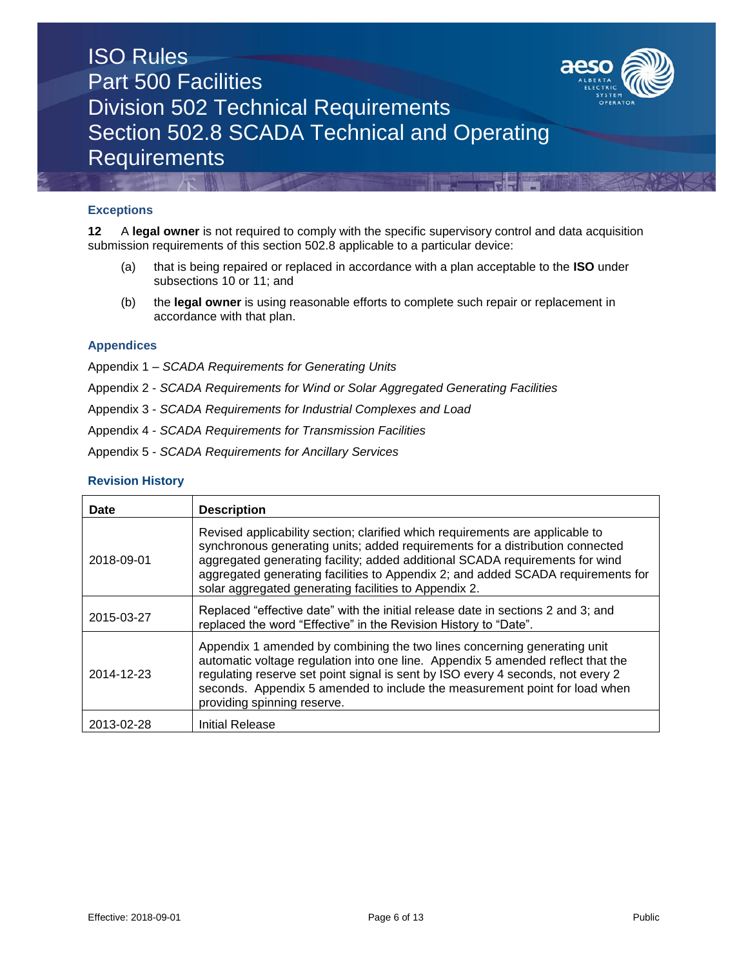

### **Exceptions**

**12** A **legal owner** is not required to comply with the specific supervisory control and data acquisition submission requirements of this section 502.8 applicable to a particular device:

- (a) that is being repaired or replaced in accordance with a plan acceptable to the **ISO** under subsections 10 or 11; and
- (b) the **legal owner** is using reasonable efforts to complete such repair or replacement in accordance with that plan.

#### **Appendices**

- Appendix 1 *SCADA Requirements for Generating Units*
- Appendix 2 *SCADA Requirements for Wind or Solar Aggregated Generating Facilities*
- Appendix 3 *SCADA Requirements for Industrial Complexes and Load*
- Appendix 4 *SCADA Requirements for Transmission Facilities*
- Appendix 5 *SCADA Requirements for Ancillary Services*

#### **Revision History**

| <b>Date</b> | <b>Description</b>                                                                                                                                                                                                                                                                                                                                                                          |
|-------------|---------------------------------------------------------------------------------------------------------------------------------------------------------------------------------------------------------------------------------------------------------------------------------------------------------------------------------------------------------------------------------------------|
| 2018-09-01  | Revised applicability section; clarified which requirements are applicable to<br>synchronous generating units; added requirements for a distribution connected<br>aggregated generating facility; added additional SCADA requirements for wind<br>aggregated generating facilities to Appendix 2; and added SCADA requirements for<br>solar aggregated generating facilities to Appendix 2. |
| 2015-03-27  | Replaced "effective date" with the initial release date in sections 2 and 3; and<br>replaced the word "Effective" in the Revision History to "Date".                                                                                                                                                                                                                                        |
| 2014-12-23  | Appendix 1 amended by combining the two lines concerning generating unit<br>automatic voltage regulation into one line. Appendix 5 amended reflect that the<br>regulating reserve set point signal is sent by ISO every 4 seconds, not every 2<br>seconds. Appendix 5 amended to include the measurement point for load when<br>providing spinning reserve.                                 |
| 2013-02-28  | Initial Release                                                                                                                                                                                                                                                                                                                                                                             |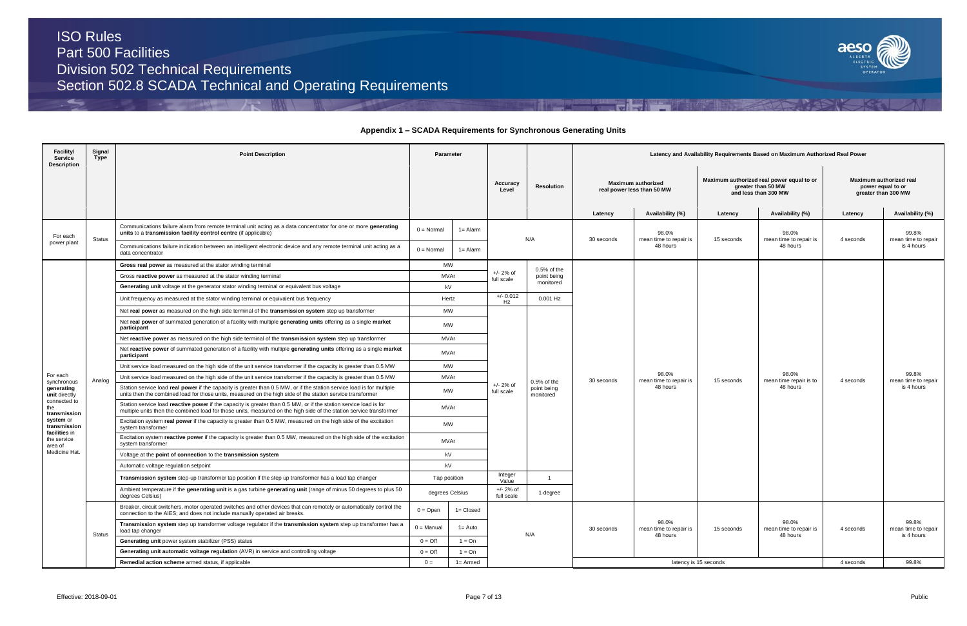ڪ



| Facility/<br><b>Service</b><br><b>Description</b> | Signal<br>Type | <b>Point Description</b>                                                                                                                                                                                                                 |                     | Parameter                         |                           |                                         | Latency and Availability Requirements Based on Maximum Authorized Real Power |                                             |            |                                             |                   |                                            |  |                                                         |  |                                                                                         |  |                                                                     |
|---------------------------------------------------|----------------|------------------------------------------------------------------------------------------------------------------------------------------------------------------------------------------------------------------------------------------|---------------------|-----------------------------------|---------------------------|-----------------------------------------|------------------------------------------------------------------------------|---------------------------------------------|------------|---------------------------------------------|-------------------|--------------------------------------------|--|---------------------------------------------------------|--|-----------------------------------------------------------------------------------------|--|---------------------------------------------------------------------|
|                                                   |                |                                                                                                                                                                                                                                          |                     |                                   |                           |                                         |                                                                              |                                             |            |                                             | Accuracy<br>Level | Resolution                                 |  | <b>Maximum authorized</b><br>real power less than 50 MW |  | Maximum authorized real power equal to or<br>greater than 50 MW<br>and less than 300 MW |  | Maximum authorized real<br>power equal to or<br>greater than 300 MW |
|                                                   |                |                                                                                                                                                                                                                                          |                     |                                   |                           |                                         | Latency                                                                      | Availability (%)                            | Latency    | Availability (%)                            | Latency           | Availability (%)                           |  |                                                         |  |                                                                                         |  |                                                                     |
| For each                                          |                | Communications failure alarm from remote terminal unit acting as a data concentrator for one or more generating<br>units to a transmission facility control centre (if applicable)                                                       | $0 = Normal$        | $1 =$ Alarm                       |                           | N/A                                     | 30 seconds                                                                   | 98.0%<br>mean time to repair is<br>48 hours |            | 98.0%<br>mean time to repair is<br>48 hours |                   | 99.8%                                      |  |                                                         |  |                                                                                         |  |                                                                     |
| power plant                                       | Status         | Communications failure indication between an intelligent electronic device and any remote terminal unit acting as a<br>data concentrator                                                                                                 | $0 = \text{Normal}$ | $1 =$ Alarm                       |                           |                                         |                                                                              |                                             | 15 seconds |                                             | 4 seconds         | mean time to repair<br>is 4 hours          |  |                                                         |  |                                                                                         |  |                                                                     |
|                                                   |                | Gross real power as measured at the stator winding terminal                                                                                                                                                                              | <b>MW</b>           |                                   |                           | $0.5%$ of the                           |                                                                              |                                             |            |                                             |                   |                                            |  |                                                         |  |                                                                                         |  |                                                                     |
|                                                   |                | Gross reactive power as measured at the stator winding terminal                                                                                                                                                                          |                     | $+/- 2%$ of<br>MVAr<br>full scale |                           | point being                             |                                                                              |                                             |            |                                             |                   |                                            |  |                                                         |  |                                                                                         |  |                                                                     |
|                                                   |                | <b>Generating unit</b> voltage at the generator stator winding terminal or equivalent bus voltage                                                                                                                                        | kV                  |                                   |                           | monitored                               |                                                                              |                                             |            |                                             |                   |                                            |  |                                                         |  |                                                                                         |  |                                                                     |
|                                                   |                | Unit frequency as measured at the stator winding terminal or equivalent bus frequency                                                                                                                                                    | Hertz               |                                   | $+/- 0.012$<br>Hz         | 0.001 Hz                                |                                                                              |                                             |            |                                             |                   |                                            |  |                                                         |  |                                                                                         |  |                                                                     |
|                                                   |                | Net real power as measured on the high side terminal of the transmission system step up transformer                                                                                                                                      | <b>MW</b>           |                                   |                           |                                         |                                                                              |                                             |            |                                             |                   |                                            |  |                                                         |  |                                                                                         |  |                                                                     |
|                                                   |                | Net real power of summated generation of a facility with multiple generating units offering as a single market<br>participant                                                                                                            | <b>MW</b>           |                                   |                           |                                         |                                                                              |                                             |            |                                             |                   |                                            |  |                                                         |  |                                                                                         |  |                                                                     |
|                                                   |                | Net reactive power as measured on the high side terminal of the transmission system step up transformer                                                                                                                                  | <b>MVAr</b>         |                                   |                           |                                         |                                                                              |                                             |            |                                             |                   |                                            |  |                                                         |  |                                                                                         |  |                                                                     |
|                                                   |                | Net reactive power of summated generation of a facility with multiple generating units offering as a single market<br>participant                                                                                                        | <b>MVAr</b>         |                                   |                           |                                         |                                                                              |                                             |            |                                             |                   |                                            |  |                                                         |  |                                                                                         |  |                                                                     |
|                                                   |                | Unit service load measured on the high side of the unit service transformer if the capacity is greater than 0.5 MW                                                                                                                       | <b>MW</b>           |                                   |                           |                                         |                                                                              |                                             |            |                                             |                   |                                            |  |                                                         |  |                                                                                         |  |                                                                     |
| For each<br>synchronous                           | Analog         | Unit service load measured on the high side of the unit service transformer if the capacity is greater than 0.5 MW                                                                                                                       | MVAr                |                                   |                           | 0.5% of the<br>point being<br>monitored | 30 seconds                                                                   | 98.0%<br>mean time to repair is             | 15 seconds | 98.0%<br>mean time repair is to             | 4 seconds         | 99.8%<br>mean time to repair               |  |                                                         |  |                                                                                         |  |                                                                     |
| generating<br>unit directly                       |                | Station service load real power if the capacity is greater than 0.5 MW, or if the station service load is for multiple<br>units then the combined load for those units, measured on the high side of the station service transformer     | <b>MW</b>           |                                   | $+/- 2%$ of<br>full scale |                                         |                                                                              | 48 hours                                    |            | 48 hours                                    |                   | is 4 hours                                 |  |                                                         |  |                                                                                         |  |                                                                     |
| connected to<br>the<br>transmission               |                | Station service load reactive power if the capacity is greater than 0.5 MW, or if the station service load is for<br>multiple units then the combined load for those units, measured on the high side of the station service transformer | MVAr                |                                   |                           |                                         |                                                                              |                                             |            |                                             |                   |                                            |  |                                                         |  |                                                                                         |  |                                                                     |
| system or<br>transmission<br>facilities in        |                | Excitation system real power if the capacity is greater than 0.5 MW, measured on the high side of the excitation<br>system transformer                                                                                                   | <b>MW</b>           |                                   |                           |                                         |                                                                              |                                             |            |                                             |                   |                                            |  |                                                         |  |                                                                                         |  |                                                                     |
| the service<br>area of                            |                | Excitation system reactive power if the capacity is greater than 0.5 MW, measured on the high side of the excitation<br>system transformer                                                                                               | MVAr                |                                   |                           |                                         |                                                                              |                                             |            |                                             |                   |                                            |  |                                                         |  |                                                                                         |  |                                                                     |
| Medicine Hat                                      |                | Voltage at the point of connection to the transmission system                                                                                                                                                                            | kV                  |                                   |                           |                                         |                                                                              |                                             |            |                                             |                   |                                            |  |                                                         |  |                                                                                         |  |                                                                     |
|                                                   |                | Automatic voltage regulation setpoint                                                                                                                                                                                                    | kV                  |                                   |                           |                                         |                                                                              |                                             |            |                                             |                   |                                            |  |                                                         |  |                                                                                         |  |                                                                     |
|                                                   |                | Transmission system step-up transformer tap position if the step up transformer has a load tap changer                                                                                                                                   | Tap position        |                                   | Integer<br>Value          |                                         |                                                                              |                                             |            |                                             |                   |                                            |  |                                                         |  |                                                                                         |  |                                                                     |
|                                                   |                | Ambient temperature if the generating unit is a gas turbine generating unit (range of minus 50 degrees to plus 50<br>degrees Celsius)                                                                                                    | degrees Celsius     |                                   | $+/- 2%$ of<br>full scale | 1 degree                                |                                                                              |                                             |            |                                             |                   |                                            |  |                                                         |  |                                                                                         |  |                                                                     |
|                                                   |                | Breaker, circuit switchers, motor operated switches and other devices that can remotely or automatically control the<br>connection to the AIES; and does not include manually operated air breaks.                                       | $0 =$ Open          | $1 = Closed$                      |                           |                                         |                                                                              |                                             |            |                                             |                   |                                            |  |                                                         |  |                                                                                         |  |                                                                     |
|                                                   | <b>Status</b>  | Transmission system step up transformer voltage regulator if the transmission system step up transformer has a<br>load tap changer                                                                                                       | $0 =$ Manual        | $1 = Auto$                        |                           | N/A                                     | 30 seconds                                                                   | 98.0%<br>mean time to repair is<br>48 hours | 15 seconds | 98.0%<br>mean time to repair is<br>48 hours | 4 seconds         | 99.8%<br>mean time to repair<br>is 4 hours |  |                                                         |  |                                                                                         |  |                                                                     |
|                                                   |                | Generating unit power system stabilizer (PSS) status                                                                                                                                                                                     | $0 = \text{Off}$    | $1 = On$                          |                           |                                         |                                                                              |                                             |            |                                             |                   |                                            |  |                                                         |  |                                                                                         |  |                                                                     |
|                                                   |                | Generating unit automatic voltage regulation (AVR) in service and controlling voltage                                                                                                                                                    | $0 = \text{Off}$    | $1 = On$                          |                           |                                         |                                                                              |                                             |            |                                             |                   |                                            |  |                                                         |  |                                                                                         |  |                                                                     |
|                                                   |                | Remedial action scheme armed status, if applicable                                                                                                                                                                                       | $0 =$               | $1 =$ Armed                       |                           |                                         | latency is 15 seconds<br>4 seconds                                           |                                             |            |                                             | 99.8%             |                                            |  |                                                         |  |                                                                                         |  |                                                                     |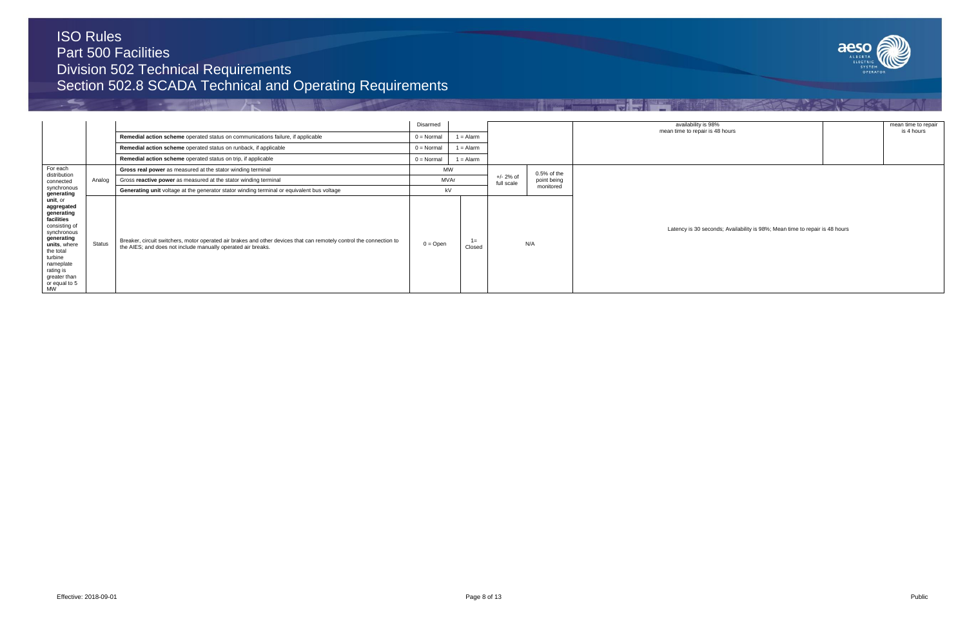ڪ



|                                                                                                                                                                                                                   |               |                                                                                                                                                                                     | Disarmed     |                 |                            |               | availability is 98%                                                         | mean time to repair |
|-------------------------------------------------------------------------------------------------------------------------------------------------------------------------------------------------------------------|---------------|-------------------------------------------------------------------------------------------------------------------------------------------------------------------------------------|--------------|-----------------|----------------------------|---------------|-----------------------------------------------------------------------------|---------------------|
|                                                                                                                                                                                                                   |               | Remedial action scheme operated status on communications failure, if applicable                                                                                                     | $0 = Normal$ | $1 =$ Alarm     |                            |               | mean time to repair is 48 hours                                             | is 4 hours          |
|                                                                                                                                                                                                                   |               | Remedial action scheme operated status on runback, if applicable                                                                                                                    | $0 = Normal$ | $1 =$ Alarm     |                            |               |                                                                             |                     |
|                                                                                                                                                                                                                   |               | Remedial action scheme operated status on trip, if applicable                                                                                                                       | $0 = Normal$ | $1 =$ Alarm     |                            |               |                                                                             |                     |
| For each<br>distribution                                                                                                                                                                                          |               | Gross real power as measured at the stator winding terminal                                                                                                                         | <b>MW</b>    |                 |                            | $0.5%$ of the |                                                                             |                     |
| connected                                                                                                                                                                                                         | Analog        | Gross reactive power as measured at the stator winding terminal                                                                                                                     | MVAr         |                 | $+/- 2\%$ of<br>full scale | point being   |                                                                             |                     |
| synchronous<br>generating                                                                                                                                                                                         |               | Generating unit voltage at the generator stator winding terminal or equivalent bus voltage                                                                                          | kV           |                 |                            | monitored     |                                                                             |                     |
| <b>unit</b> . or<br>aggregated<br>generating<br>facilities<br>consisting of<br>synchronous<br>generating<br>units, where<br>the total<br>turbine<br>nameplate<br>rating is<br>greater than<br>or equal to 5<br>MW | <b>Status</b> | Breaker, circuit switchers, motor operated air brakes and other devices that can remotely control the connection to<br>the AIES; and does not include manually operated air breaks. | $0 =$ Open   | $1 =$<br>Closed |                            | N/A           | Latency is 30 seconds; Availability is 98%; Mean time to repair is 48 hours |                     |

**相似**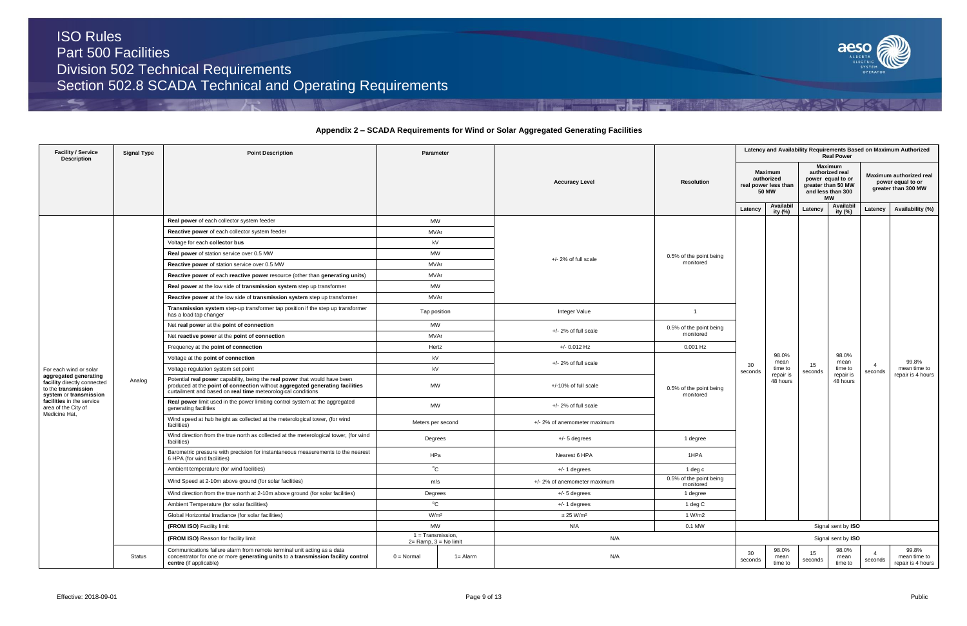ڪ



### **Appendix 2 – SCADA Requirements for Wind or Solar Aggregated Generating Facilities**

| <b>Facility / Service</b><br><b>Description</b>                                                       | <b>Signal Type</b> | <b>Point Description</b>                                                                                                                                                                                                   | Parameter                                       |          |                              |                                      |               |                                                                      |               |                                                                                                         | Latency and Availability Requirements Based on Maximum Authorized<br><b>Real Power</b> |                                                                     |  |  |
|-------------------------------------------------------------------------------------------------------|--------------------|----------------------------------------------------------------------------------------------------------------------------------------------------------------------------------------------------------------------------|-------------------------------------------------|----------|------------------------------|--------------------------------------|---------------|----------------------------------------------------------------------|---------------|---------------------------------------------------------------------------------------------------------|----------------------------------------------------------------------------------------|---------------------------------------------------------------------|--|--|
|                                                                                                       |                    |                                                                                                                                                                                                                            |                                                 |          | <b>Accuracy Level</b>        | <b>Resolution</b>                    |               | <b>Maximum</b><br>authorized<br>real power less than<br><b>50 MW</b> |               | <b>Maximum</b><br>authorized real<br>power equal to or<br>greater than 50 MW<br>and less than 300<br>МW |                                                                                        | Maximum authorized real<br>power equal to or<br>greater than 300 MW |  |  |
|                                                                                                       |                    |                                                                                                                                                                                                                            |                                                 |          |                              |                                      | Latency       | Availabil<br>ity (%)                                                 | Latency       | Availabil<br>ity (%)                                                                                    | Latency                                                                                | Availability (%)                                                    |  |  |
|                                                                                                       |                    | Real power of each collector system feeder                                                                                                                                                                                 | MW                                              |          |                              |                                      |               |                                                                      |               |                                                                                                         |                                                                                        |                                                                     |  |  |
|                                                                                                       |                    | Reactive power of each collector system feeder                                                                                                                                                                             | MVAr                                            |          |                              |                                      |               |                                                                      |               |                                                                                                         |                                                                                        |                                                                     |  |  |
|                                                                                                       |                    | Voltage for each collector bus                                                                                                                                                                                             | kV                                              |          |                              |                                      |               |                                                                      |               |                                                                                                         |                                                                                        |                                                                     |  |  |
|                                                                                                       |                    | Real power of station service over 0.5 MW                                                                                                                                                                                  | MW                                              |          |                              | 0.5% of the point being              |               |                                                                      |               |                                                                                                         |                                                                                        |                                                                     |  |  |
|                                                                                                       |                    | Reactive power of station service over 0.5 MW                                                                                                                                                                              | MVAr                                            |          | +/- 2% of full scale         | monitored                            |               |                                                                      |               |                                                                                                         |                                                                                        |                                                                     |  |  |
|                                                                                                       |                    | Reactive power of each reactive power resource (other than generating units)                                                                                                                                               | MVAr                                            |          |                              |                                      |               |                                                                      |               |                                                                                                         |                                                                                        |                                                                     |  |  |
|                                                                                                       |                    | Real power at the low side of transmission system step up transformer                                                                                                                                                      | MW                                              |          |                              |                                      |               |                                                                      |               |                                                                                                         |                                                                                        |                                                                     |  |  |
|                                                                                                       |                    | Reactive power at the low side of transmission system step up transformer                                                                                                                                                  | MVAr                                            |          |                              |                                      |               |                                                                      |               |                                                                                                         |                                                                                        |                                                                     |  |  |
|                                                                                                       |                    | Transmission system step-up transformer tap position if the step up transformer<br>has a load tap changer                                                                                                                  | Tap position                                    |          | Integer Value                | $\overline{1}$                       |               |                                                                      |               |                                                                                                         |                                                                                        |                                                                     |  |  |
|                                                                                                       |                    | Net real power at the point of connection                                                                                                                                                                                  | MW                                              |          |                              | 0.5% of the point being              |               |                                                                      |               |                                                                                                         |                                                                                        |                                                                     |  |  |
|                                                                                                       |                    | Net reactive power at the point of connection                                                                                                                                                                              | MVAr                                            |          | $+/- 2%$ of full scale       | monitored                            |               |                                                                      |               |                                                                                                         |                                                                                        |                                                                     |  |  |
|                                                                                                       |                    | Frequency at the point of connection                                                                                                                                                                                       | Hertz                                           |          | +/- 0.012 Hz                 | 0.001 Hz                             |               |                                                                      |               |                                                                                                         |                                                                                        |                                                                     |  |  |
|                                                                                                       |                    | Voltage at the point of connection                                                                                                                                                                                         | kV                                              |          |                              |                                      |               | 98.0%<br>mean                                                        |               | 98.0%<br>mean                                                                                           |                                                                                        | 99.8%                                                               |  |  |
| For each wind or solar                                                                                |                    | Voltage regulation system set point                                                                                                                                                                                        | kV                                              |          | $+/- 2\%$ of full scale      |                                      | 30<br>seconds | time to                                                              | 15<br>seconds | time to                                                                                                 | $\overline{4}$<br>seconds                                                              | mean time to                                                        |  |  |
| aggregated generating<br>facility directly connected<br>to the transmission<br>system or transmission | Analog             | Potential real power capability, being the real power that would have been<br>produced at the point of connection without aggregated generating facilities<br>curtailment and based on real time meteorological conditions |                                                 | MW       | +/-10% of full scale         | 0.5% of the point being              | monitored     | repair is<br>48 hours                                                |               | repair is<br>48 hours                                                                                   |                                                                                        | repair is 4 hours                                                   |  |  |
| facilities in the service<br>area of the City of                                                      |                    | Real power limit used in the power limiting control system at the aggregated<br>generating facilities                                                                                                                      | MW                                              |          | $+/- 2\%$ of full scale      |                                      |               |                                                                      |               |                                                                                                         |                                                                                        |                                                                     |  |  |
| Medicine Hat,                                                                                         |                    | Wind speed at hub height as collected at the meterological tower, (for wind<br>facilities)                                                                                                                                 | Meters per second                               |          | +/- 2% of anemometer maximum |                                      |               |                                                                      |               |                                                                                                         |                                                                                        |                                                                     |  |  |
|                                                                                                       |                    | Wind direction from the true north as collected at the meterological tower, (for wind<br>facilities)                                                                                                                       | Degrees                                         |          | $+/- 5$ degrees              | 1 degree                             |               |                                                                      |               |                                                                                                         |                                                                                        |                                                                     |  |  |
|                                                                                                       |                    | Barometric pressure with precision for instantaneous measurements to the nearest<br>6 HPA (for wind facilities)                                                                                                            | HPa                                             |          | Nearest 6 HPA                | 1HPA                                 |               |                                                                      |               |                                                                                                         |                                                                                        |                                                                     |  |  |
|                                                                                                       |                    | Ambient temperature (for wind facilities)                                                                                                                                                                                  | $^{\circ}$ C                                    |          | $+/- 1$ degrees              | 1 deg c                              |               |                                                                      |               |                                                                                                         |                                                                                        |                                                                     |  |  |
|                                                                                                       |                    | Wind Speed at 2-10m above ground (for solar facilities)                                                                                                                                                                    | m/s                                             |          | +/- 2% of anemometer maximum | 0.5% of the point being<br>monitored |               |                                                                      |               |                                                                                                         |                                                                                        |                                                                     |  |  |
|                                                                                                       |                    | Wind direction from the true north at 2-10m above ground (for solar facilities)                                                                                                                                            | Degrees                                         |          | $+/- 5$ degrees              | 1 degree                             |               |                                                                      |               |                                                                                                         |                                                                                        |                                                                     |  |  |
|                                                                                                       |                    | Ambient Temperature (for solar facilities)                                                                                                                                                                                 | $\rm ^{0}C$                                     |          | $+/- 1$ degrees              | 1 deg C                              |               |                                                                      |               |                                                                                                         |                                                                                        |                                                                     |  |  |
|                                                                                                       |                    | Global Horizontal Irradiance (for solar facilities)                                                                                                                                                                        | W/m <sup>2</sup>                                |          | $\pm$ 25 W/m <sup>2</sup>    | 1 W/m2                               |               |                                                                      |               |                                                                                                         |                                                                                        |                                                                     |  |  |
|                                                                                                       |                    | (FROM ISO) Facility limit                                                                                                                                                                                                  | <b>MW</b>                                       |          | N/A                          | 0.1 MW                               |               |                                                                      |               | Signal sent by ISO                                                                                      |                                                                                        |                                                                     |  |  |
|                                                                                                       |                    | (FROM ISO) Reason for facility limit                                                                                                                                                                                       | $1 =$ Transmission.<br>$2=$ Ramp, $3=$ No limit |          | N/A                          |                                      |               |                                                                      |               | Signal sent by ISO                                                                                      |                                                                                        |                                                                     |  |  |
|                                                                                                       | <b>Status</b>      | Communications failure alarm from remote terminal unit acting as a data<br>concentrator for one or more generating units to a transmission facility control<br>centre (if applicable)                                      | $0 = Normal$                                    | 1= Alarm | N/A                          |                                      | 30<br>seconds | 98.0%<br>mean<br>time to                                             | 15<br>seconds | 98.0%<br>mean<br>time to                                                                                | seconds                                                                                | 99.8%<br>mean time to<br>repair is 4 hours                          |  |  |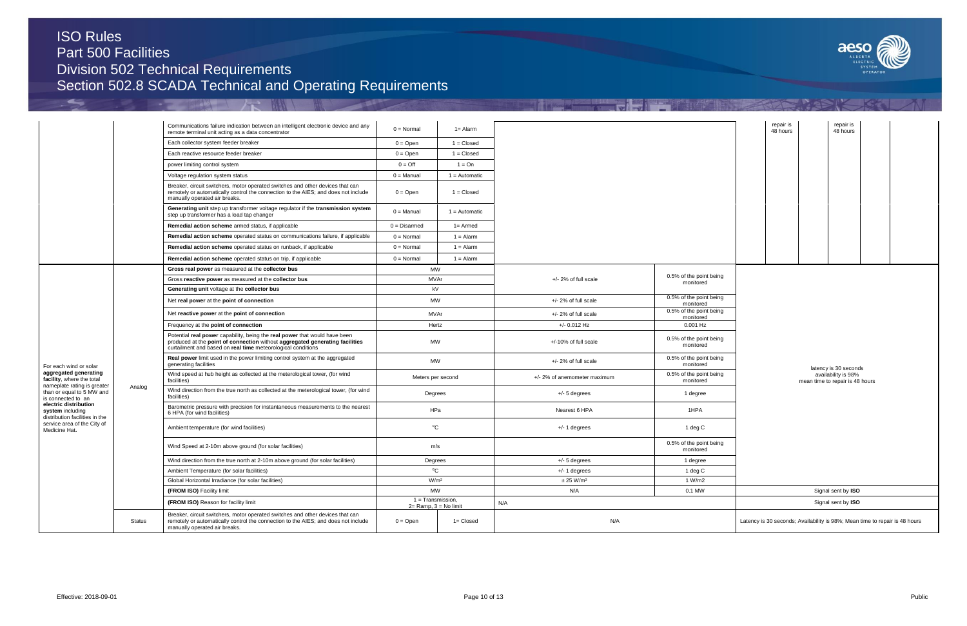ڪ

**The Second Street** 

|      |                       |                                                                                 | SYSTEM<br>OPERATOR | $\overline{\phantom{a}}$ |  |
|------|-----------------------|---------------------------------------------------------------------------------|--------------------|--------------------------|--|
|      |                       |                                                                                 |                    |                          |  |
|      |                       |                                                                                 |                    |                          |  |
|      | repair is<br>48 hours | repair is<br>48 hours                                                           |                    |                          |  |
|      |                       |                                                                                 |                    |                          |  |
| eing |                       |                                                                                 |                    |                          |  |
| eing |                       |                                                                                 |                    |                          |  |
| eing |                       |                                                                                 |                    |                          |  |
| eing |                       |                                                                                 |                    |                          |  |
| eing |                       |                                                                                 |                    |                          |  |
| eing |                       | latency is 30 seconds<br>availability is 98%<br>mean time to repair is 48 hours |                    |                          |  |
|      |                       |                                                                                 |                    |                          |  |
| eing |                       |                                                                                 |                    |                          |  |
|      |                       |                                                                                 |                    |                          |  |
|      |                       |                                                                                 |                    |                          |  |
|      |                       | Signal sent by ISO<br>Signal sent by ISO                                        |                    |                          |  |
|      |                       | Latency is 30 seconds; Availability is 98%; Mean time to repair is 48 hours     |                    |                          |  |
|      |                       |                                                                                 |                    |                          |  |

aeso

|                                                                                   |        | Communications failure indication between an intelligent electronic device and any                                                                                                                                         | $0 = Normal$     | $1 =$ Alarm                                   |                              |                                      | repair is                                                                   | repair is                                              |  |  |
|-----------------------------------------------------------------------------------|--------|----------------------------------------------------------------------------------------------------------------------------------------------------------------------------------------------------------------------------|------------------|-----------------------------------------------|------------------------------|--------------------------------------|-----------------------------------------------------------------------------|--------------------------------------------------------|--|--|
|                                                                                   |        | remote terminal unit acting as a data concentrator                                                                                                                                                                         |                  |                                               |                              |                                      | 48 hours                                                                    | 48 hours                                               |  |  |
|                                                                                   |        | Each collector system feeder breaker                                                                                                                                                                                       | $0 =$ Open       | $1 = Closed$                                  |                              |                                      |                                                                             |                                                        |  |  |
|                                                                                   |        | Each reactive resource feeder breaker                                                                                                                                                                                      | $0 =$ Open       | $1 = Closed$                                  |                              |                                      |                                                                             |                                                        |  |  |
|                                                                                   |        | power limiting control system                                                                                                                                                                                              | $0 = \text{Off}$ | $1 = On$                                      |                              |                                      |                                                                             |                                                        |  |  |
|                                                                                   |        | Voltage regulation system status                                                                                                                                                                                           | $0 =$ Manual     | $1 =$ Automatic                               |                              |                                      |                                                                             |                                                        |  |  |
|                                                                                   |        | Breaker, circuit switchers, motor operated switches and other devices that can<br>remotely or automatically control the connection to the AIES; and does not include<br>manually operated air breaks.                      | $0 =$ Open       | $1 = Closed$                                  |                              |                                      |                                                                             |                                                        |  |  |
|                                                                                   |        | Generating unit step up transformer voltage regulator if the transmission system<br>step up transformer has a load tap changer                                                                                             | $0 =$ Manual     | $1 =$ Automatic                               |                              |                                      |                                                                             |                                                        |  |  |
|                                                                                   |        | Remedial action scheme armed status, if applicable                                                                                                                                                                         | $0 = Disarmed$   | $1 =$ Armed                                   |                              |                                      |                                                                             |                                                        |  |  |
|                                                                                   |        | Remedial action scheme operated status on communications failure, if applicable                                                                                                                                            | $0 = Normal$     | $1 =$ Alarm                                   |                              |                                      |                                                                             |                                                        |  |  |
|                                                                                   |        | Remedial action scheme operated status on runback, if applicable                                                                                                                                                           | $0 = Normal$     | $1 =$ Alarm                                   |                              |                                      |                                                                             |                                                        |  |  |
|                                                                                   |        | Remedial action scheme operated status on trip, if applicable                                                                                                                                                              | $0 = Normal$     | $1 =$ Alarm                                   |                              |                                      |                                                                             |                                                        |  |  |
|                                                                                   |        | Gross real power as measured at the collector bus                                                                                                                                                                          |                  | <b>MW</b>                                     |                              |                                      |                                                                             |                                                        |  |  |
|                                                                                   |        | Gross reactive power as measured at the collector bus                                                                                                                                                                      |                  | MVAr                                          | $+/- 2\%$ of full scale      | 0.5% of the point being<br>monitored |                                                                             |                                                        |  |  |
|                                                                                   |        | Generating unit voltage at the collector bus                                                                                                                                                                               | kV               |                                               |                              |                                      |                                                                             |                                                        |  |  |
|                                                                                   |        | Net real power at the point of connection                                                                                                                                                                                  |                  | <b>MW</b>                                     | +/- 2% of full scale         | 0.5% of the point being<br>monitored |                                                                             |                                                        |  |  |
|                                                                                   |        | Net reactive power at the point of connection                                                                                                                                                                              |                  | MVAr                                          | $+/- 2\%$ of full scale      | 0.5% of the point being<br>monitored |                                                                             |                                                        |  |  |
|                                                                                   |        | Frequency at the point of connection                                                                                                                                                                                       |                  | Hertz                                         | $+/- 0.012$ Hz               | $0.001$ Hz                           |                                                                             |                                                        |  |  |
|                                                                                   |        | Potential real power capability, being the real power that would have been<br>produced at the point of connection without aggregated generating facilities<br>curtailment and based on real time meteorological conditions |                  | MW                                            | +/-10% of full scale         | 0.5% of the point being<br>monitored |                                                                             |                                                        |  |  |
| For each wind or solar                                                            |        | Real power limit used in the power limiting control system at the aggregated<br>generating facilities                                                                                                                      |                  | MW                                            | $+/- 2\%$ of full scale      | 0.5% of the point being<br>monitored |                                                                             | latency is 30 seconds                                  |  |  |
| aggregated generating<br>facility, where the total<br>nameplate rating is greater | Analog | Wind speed at hub height as collected at the meterological tower, (for wind<br>facilities)                                                                                                                                 |                  | Meters per second                             | +/- 2% of anemometer maximum | 0.5% of the point being<br>monitored |                                                                             | availability is 98%<br>mean time to repair is 48 hours |  |  |
| than or equal to 5 MW and<br>is connected to an                                   |        | Wind direction from the true north as collected at the meterological tower, (for wind<br>facilities)                                                                                                                       |                  | Degrees                                       | $+/- 5$ degrees              | 1 degree                             |                                                                             |                                                        |  |  |
| electric distribution<br>system including<br>distribution facilities in the       |        | Barometric pressure with precision for instantaneous measurements to the nearest<br>6 HPA (for wind facilities)                                                                                                            |                  | HPa                                           | Nearest 6 HPA                | 1HPA                                 |                                                                             |                                                        |  |  |
| service area of the City of<br>Medicine Hat.                                      |        | Ambient temperature (for wind facilities)                                                                                                                                                                                  |                  | $^{\circ}$ C                                  | $+/- 1$ degrees              | 1 deg C                              |                                                                             |                                                        |  |  |
|                                                                                   |        | Wind Speed at 2-10m above ground (for solar facilities)                                                                                                                                                                    |                  | m/s                                           |                              | 0.5% of the point being<br>monitored |                                                                             |                                                        |  |  |
|                                                                                   |        | Wind direction from the true north at 2-10m above ground (for solar facilities)                                                                                                                                            |                  | Degrees                                       | $+/- 5$ degrees              | 1 degree                             |                                                                             |                                                        |  |  |
|                                                                                   |        | Ambient Temperature (for solar facilities)                                                                                                                                                                                 |                  | $^0C$                                         | $+/- 1$ degrees              | 1 deg C                              |                                                                             |                                                        |  |  |
|                                                                                   |        | Global Horizontal Irradiance (for solar facilities)                                                                                                                                                                        |                  | W/m <sup>2</sup>                              | $\pm$ 25 W/m <sup>2</sup>    | 1 W/m2                               |                                                                             |                                                        |  |  |
|                                                                                   |        | (FROM ISO) Facility limit                                                                                                                                                                                                  |                  | <b>MW</b>                                     | N/A                          | 0.1 MW                               |                                                                             | Signal sent by ISO                                     |  |  |
|                                                                                   |        | (FROM ISO) Reason for facility limit                                                                                                                                                                                       |                  | 1 = Transmission,<br>$2=$ Ramp, $3=$ No limit | N/A                          |                                      |                                                                             | Signal sent by ISO                                     |  |  |
|                                                                                   | Status | Breaker, circuit switchers, motor operated switches and other devices that can<br>remotely or automatically control the connection to the AIES; and does not include<br>manually operated air breaks.                      | $0 =$ Open       | $1 = Closed$                                  | N/A                          |                                      | Latency is 30 seconds; Availability is 98%; Mean time to repair is 48 hours |                                                        |  |  |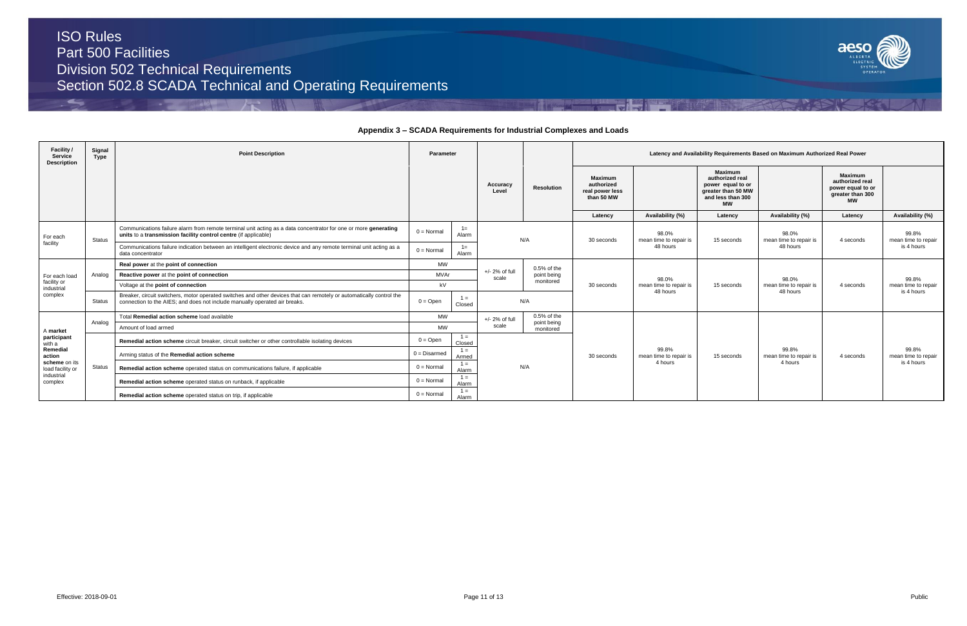$\leftarrow$ 



## **Appendix 3 – SCADA Requirements for Industrial Complexes and Loads**

| Facility /<br><b>Service</b><br><b>Description</b>         | Signal<br>Type | <b>Point Description</b>                                                                                                                                                                           | Parameter           |                 |                            |                              |            |                                    | Latency and Availability Requirements Based on Maximum Authorized Real Power |                                 |                   |                              |                                                        |  |                                                                                                                |  |
|------------------------------------------------------------|----------------|----------------------------------------------------------------------------------------------------------------------------------------------------------------------------------------------------|---------------------|-----------------|----------------------------|------------------------------|------------|------------------------------------|------------------------------------------------------------------------------|---------------------------------|-------------------|------------------------------|--------------------------------------------------------|--|----------------------------------------------------------------------------------------------------------------|--|
|                                                            |                |                                                                                                                                                                                                    |                     |                 |                            |                              |            |                                    |                                                                              |                                 | Accuracy<br>Level | <b>Resolution</b>            | Maximum<br>authorized<br>real power less<br>than 50 MW |  | <b>Maximum</b><br>authorized real<br>power equal to or<br>greater than 50 MW<br>and less than 300<br><b>MW</b> |  |
|                                                            |                |                                                                                                                                                                                                    |                     |                 |                            |                              | Latency    | Availability (%)                   | Latency                                                                      | Availability (%)                | Latency           | Availability (%)             |                                                        |  |                                                                                                                |  |
| For each                                                   | <b>Status</b>  | Communications failure alarm from remote terminal unit acting as a data concentrator for one or more generating<br>units to a transmission facility control centre (if applicable)                 | $0 = \text{Normal}$ | $1 =$<br>Alarm  |                            | N/A                          | 30 seconds | 98.0%<br>mean time to repair is    | 15 seconds                                                                   | 98.0%<br>mean time to repair is | 4 seconds         | 99.8%<br>mean time to repair |                                                        |  |                                                                                                                |  |
| facility                                                   |                | Communications failure indication between an intelligent electronic device and any remote terminal unit acting as a<br>data concentrator                                                           | $0 = Normal$        | $1 =$<br>Alarm  |                            |                              |            | 48 hours                           |                                                                              | 48 hours                        |                   | is 4 hours                   |                                                        |  |                                                                                                                |  |
|                                                            | Analog         | Real power at the point of connection                                                                                                                                                              | <b>MW</b>           |                 |                            | $0.5%$ of the                |            |                                    |                                                                              |                                 |                   |                              |                                                        |  |                                                                                                                |  |
| For each load                                              |                | Reactive power at the point of connection                                                                                                                                                          | MVAr                |                 | $+/- 2\%$ of full<br>scale | point being                  |            | 98.0%                              |                                                                              | 98.0%                           |                   | 99.8%                        |                                                        |  |                                                                                                                |  |
| facility or<br>industrial                                  |                | Voltage at the point of connection                                                                                                                                                                 | kV                  |                 |                            | monitored                    | 30 seconds | mean time to repair is<br>48 hours | 15 seconds                                                                   | mean time to repair is          | 4 seconds         | mean time to repair          |                                                        |  |                                                                                                                |  |
| complex                                                    | <b>Status</b>  | Breaker, circuit switchers, motor operated switches and other devices that can remotely or automatically control the<br>connection to the AIES; and does not include manually operated air breaks. | $0 = Open$          | $1 =$<br>Closed | N/A                        |                              |            |                                    |                                                                              | 48 hours                        |                   | is 4 hours                   |                                                        |  |                                                                                                                |  |
|                                                            | Analog         | Total Remedial action scheme load available                                                                                                                                                        | MW                  |                 | $+/- 2%$ of full           | $0.5%$ of the<br>point being |            |                                    |                                                                              |                                 |                   |                              |                                                        |  |                                                                                                                |  |
| A market                                                   |                | Amount of load armed                                                                                                                                                                               | <b>MW</b>           |                 | scale                      | monitored                    |            |                                    |                                                                              |                                 |                   |                              |                                                        |  |                                                                                                                |  |
| participant<br>with a                                      |                | Remedial action scheme circuit breaker, circuit switcher or other controllable isolating devices                                                                                                   | $0 = \text{Open}$   | $1 =$<br>Closed |                            |                              |            |                                    |                                                                              |                                 |                   |                              |                                                        |  |                                                                                                                |  |
| Remedial<br>action                                         |                | Arming status of the Remedial action scheme                                                                                                                                                        | $0 = Disarmed$      | $1 =$<br>Armed  |                            |                              | 30 seconds | 99.8%<br>mean time to repair is    | 15 seconds                                                                   | 99.8%<br>mean time to repair is | 4 seconds         | 99.8%<br>mean time to repair |                                                        |  |                                                                                                                |  |
| scheme on its<br>load facility or<br>industrial<br>complex | <b>Status</b>  | Remedial action scheme operated status on communications failure, if applicable                                                                                                                    | $0 = \text{Normal}$ | $1 =$<br>Alarm  |                            | N/A                          |            | 4 hours                            |                                                                              | 4 hours                         |                   | is 4 hours                   |                                                        |  |                                                                                                                |  |
|                                                            |                | Remedial action scheme operated status on runback, if applicable                                                                                                                                   | $0 = \text{Normal}$ | $1 =$<br>Alarm  |                            |                              |            |                                    |                                                                              |                                 |                   |                              |                                                        |  |                                                                                                                |  |
|                                                            |                | Remedial action scheme operated status on trip, if applicable                                                                                                                                      | $0 = Normal$        | $1 =$<br>Alarm  |                            |                              |            |                                    |                                                                              |                                 |                   |                              |                                                        |  |                                                                                                                |  |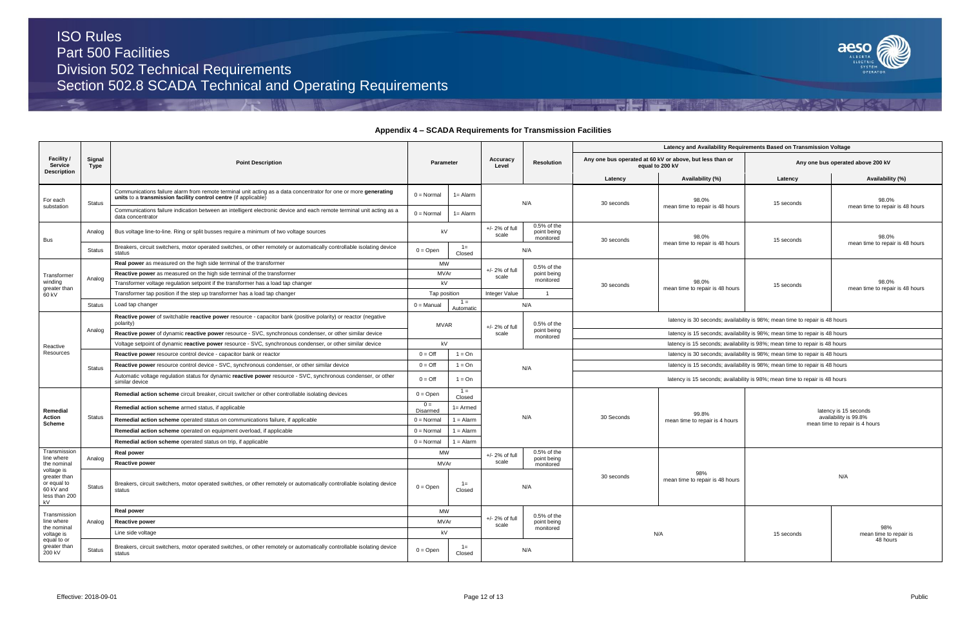$\leftarrow$ 



### **Appendix 4 – SCADA Requirements for Transmission Facilities**

|                 |                                                  | Latency and Availability Requirements Based on Transmission Voltage         |                                                                                  |
|-----------------|--------------------------------------------------|-----------------------------------------------------------------------------|----------------------------------------------------------------------------------|
| equal to 200 kV | bus operated at 60 kV or above, but less than or |                                                                             | Any one bus operated above 200 kV                                                |
| Latency         | Availability (%)                                 | Latency                                                                     | Availability (%)                                                                 |
| 0 seconds       | 98.0%<br>mean time to repair is 48 hours         | 15 seconds                                                                  | 98.0%<br>mean time to repair is 48 hours                                         |
| 0 seconds       | 98.0%<br>mean time to repair is 48 hours         | 15 seconds                                                                  | 98.0%<br>mean time to repair is 48 hours                                         |
| 0 seconds       | 98.0%<br>mean time to repair is 48 hours         | 15 seconds                                                                  | 98.0%<br>mean time to repair is 48 hours                                         |
|                 |                                                  | latency is 30 seconds; availability is 98%; mean time to repair is 48 hours |                                                                                  |
|                 |                                                  | latency is 15 seconds; availability is 98%; mean time to repair is 48 hours |                                                                                  |
|                 |                                                  | latency is 15 seconds; availability is 98%; mean time to repair is 48 hours |                                                                                  |
|                 |                                                  | latency is 30 seconds; availability is 98%; mean time to repair is 48 hours |                                                                                  |
|                 |                                                  | latency is 15 seconds; availability is 98%; mean time to repair is 48 hours |                                                                                  |
|                 |                                                  | latency is 15 seconds; availability is 98%; mean time to repair is 48 hours |                                                                                  |
| ) Seconds       | 99.8%<br>mean time to repair is 4 hours          |                                                                             | latency is 15 seconds<br>availability is 99.8%<br>mean time to repair is 4 hours |
| 0 seconds       | 98%<br>mean time to repair is 48 hours           |                                                                             | N/A                                                                              |
| N/A             |                                                  | 15 seconds                                                                  | 98%<br>mean time to repair is<br>48 hours                                        |

|                                                                                         |                |                                                                                                                                                                                    |                               |                                          |                           |                                         |                                                                             |                                                                             | Latency and Availability Requirements Based on Transmission Voltag          |               |
|-----------------------------------------------------------------------------------------|----------------|------------------------------------------------------------------------------------------------------------------------------------------------------------------------------------|-------------------------------|------------------------------------------|---------------------------|-----------------------------------------|-----------------------------------------------------------------------------|-----------------------------------------------------------------------------|-----------------------------------------------------------------------------|---------------|
| Facility /<br>Service<br><b>Description</b>                                             | Signal<br>Type | <b>Point Description</b>                                                                                                                                                           | Parameter                     |                                          | Accuracy<br>Level         | <b>Resolution</b>                       |                                                                             | Any one bus operated at 60 kV or above, but less than or<br>equal to 200 kV | Any one bus operat                                                          |               |
|                                                                                         |                |                                                                                                                                                                                    |                               |                                          |                           |                                         | Latency                                                                     | Availability (%)                                                            | Latency                                                                     |               |
| For each                                                                                | <b>Status</b>  | Communications failure alarm from remote terminal unit acting as a data concentrator for one or more generating<br>units to a transmission facility control centre (if applicable) | $0 = Normal$                  | $1 =$ Alarm                              |                           | N/A                                     | 30 seconds                                                                  | 98.0%                                                                       | 15 seconds                                                                  |               |
| substation                                                                              |                | Communications failure indication between an intelligent electronic device and each remote terminal unit acting as a<br>data concentrator                                          | $0 = Normal$                  | $1 =$ Alarm                              |                           |                                         |                                                                             | mean time to repair is 48 hours                                             |                                                                             |               |
| Bus                                                                                     | Analog         | Bus voltage line-to-line. Ring or split busses require a minimum of two voltage sources                                                                                            | kV                            |                                          | $+/- 2%$ of full<br>scale | 0.5% of the<br>point being<br>monitored | 30 seconds                                                                  | 98.0%                                                                       | 15 seconds                                                                  |               |
|                                                                                         | Status         | Breakers, circuit switchers, motor operated switches, or other remotely or automatically controllable isolating device<br>status                                                   | $0 =$ Open                    | $1 =$<br>Closed                          |                           | N/A                                     |                                                                             | mean time to repair is 48 hours                                             |                                                                             |               |
|                                                                                         |                | <b>Real power</b> as measured on the high side terminal of the transformer                                                                                                         | MW                            |                                          |                           | $0.5%$ of the                           |                                                                             |                                                                             |                                                                             |               |
| Transformer                                                                             | Analog         | <b>Reactive power</b> as measured on the high side terminal of the transformer                                                                                                     | <b>MVAr</b>                   |                                          | +/- 2% of full<br>scale   | point being                             |                                                                             |                                                                             |                                                                             |               |
| winding<br>greater than                                                                 |                | Transformer voltage regulation setpoint if the transformer has a load tap changer                                                                                                  | kV                            |                                          |                           | monitored                               | 30 seconds                                                                  | 98.0%<br>mean time to repair is 48 hours                                    | 15 seconds                                                                  |               |
| 60 kV                                                                                   |                | Transformer tap position if the step up transformer has a load tap changer                                                                                                         | Tap position                  |                                          | Integer Value             | $\mathbf{1}$                            |                                                                             |                                                                             |                                                                             |               |
|                                                                                         | <b>Status</b>  | Load tap changer                                                                                                                                                                   | 0 = Manual                    | $1 =$<br>Automatic                       | N/A                       |                                         |                                                                             |                                                                             |                                                                             |               |
|                                                                                         |                | Reactive power of switchable reactive power resource - capacitor bank (positive polarity) or reactor (negative<br>polarity)                                                        | <b>MVAR</b>                   |                                          | +/- 2% of full            | $0.5%$ of the                           |                                                                             | latency is 30 seconds; availability is 98%; mean time to repair is 48 hours |                                                                             |               |
| Reactive                                                                                | Analog         | Reactive power of dynamic reactive power resource - SVC, synchronous condenser, or other similar device                                                                            |                               |                                          | scale                     | point being<br>monitored                |                                                                             |                                                                             | latency is 15 seconds; availability is 98%; mean time to repair is 48 hours |               |
|                                                                                         |                | Voltage setpoint of dynamic reactive power resource - SVC, synchronous condenser, or other similar device                                                                          | kV                            |                                          |                           |                                         |                                                                             |                                                                             | latency is 15 seconds; availability is 98%; mean time to repair is 48 hours |               |
| Resources                                                                               |                | Reactive power resource control device - capacitor bank or reactor                                                                                                                 | $0 = \text{Off}$              | $1 = On$<br>$0 = \text{Off}$<br>$1 = On$ |                           |                                         |                                                                             |                                                                             | latency is 30 seconds; availability is 98%; mean time to repair is 48 hours |               |
|                                                                                         | <b>Status</b>  | Reactive power resource control device - SVC, synchronous condenser, or other similar device                                                                                       |                               |                                          |                           | N/A                                     | latency is 15 seconds; availability is 98%; mean time to repair is 48 hours |                                                                             |                                                                             |               |
|                                                                                         |                | Automatic voltage regulation status for dynamic reactive power resource - SVC, synchronous condenser, or other<br>similar device                                                   | $0 = \text{Off}$              | $1 = On$                                 |                           |                                         |                                                                             | latency is 15 seconds; availability is 98%; mean time to repair is 48 hours |                                                                             |               |
|                                                                                         |                | Remedial action scheme circuit breaker, circuit switcher or other controllable isolating devices                                                                                   | $0 =$ Open                    | $1 =$<br>Closed                          |                           |                                         |                                                                             |                                                                             |                                                                             |               |
| Remedial                                                                                |                | Remedial action scheme armed status, if applicable                                                                                                                                 | $0 =$<br>Disarmed             | $1 =$ Armed                              |                           |                                         |                                                                             | 99.8%                                                                       |                                                                             | latency is 1! |
| Action<br>Scheme                                                                        | <b>Status</b>  | Remedial action scheme operated status on communications failure, if applicable                                                                                                    | $0 = \text{Normal}$           | $1 =$ Alarm                              |                           | N/A                                     | 30 Seconds                                                                  | mean time to repair is 4 hours                                              | mean time to rep                                                            | availability  |
|                                                                                         |                | Remedial action scheme operated on equipment overload, if applicable                                                                                                               | $0 = Normal$                  | $1 =$ Alarm                              |                           |                                         |                                                                             |                                                                             |                                                                             |               |
|                                                                                         |                | Remedial action scheme operated status on trip, if applicable                                                                                                                      | $0 = Normal$                  | $1 =$ Alarm                              |                           |                                         |                                                                             |                                                                             |                                                                             |               |
| Transmission                                                                            |                | <b>Real power</b>                                                                                                                                                                  | MW                            |                                          | +/- 2% of full            | $0.5%$ of the                           |                                                                             |                                                                             |                                                                             |               |
| line where<br>the nominal                                                               | Analog         | <b>Reactive power</b>                                                                                                                                                              | MVAr                          |                                          | scale                     | point being<br>monitored                |                                                                             |                                                                             |                                                                             |               |
| voltage is<br>greater than<br>or equal to<br>Status<br>60 kV and<br>less than 200<br>kV |                | Breakers, circuit switchers, motor operated switches, or other remotely or automatically controllable isolating device<br>status                                                   | $1 =$<br>$0 =$ Open<br>Closed |                                          |                           | N/A                                     | 30 seconds                                                                  | 98%<br>mean time to repair is 48 hours                                      |                                                                             |               |
| Transmission                                                                            |                | Real power                                                                                                                                                                         | <b>MW</b>                     |                                          |                           | 0.5% of the                             |                                                                             |                                                                             |                                                                             |               |
| line where                                                                              | Analog         | Reactive power                                                                                                                                                                     | MVAr                          |                                          | +/- 2% of full<br>scale   | point being                             |                                                                             |                                                                             |                                                                             |               |
| the nominal<br>voltage is                                                               |                | Line side voltage                                                                                                                                                                  | kV                            |                                          |                           | monitored                               |                                                                             | N/A                                                                         | 15 seconds                                                                  |               |
| equal to or<br>greater than<br>200 kV                                                   | <b>Status</b>  | Breakers, circuit switchers, motor operated switches, or other remotely or automatically controllable isolating device<br>status                                                   | $0 = Open$                    | $1 =$<br>Closed                          |                           | N/A                                     |                                                                             |                                                                             |                                                                             |               |